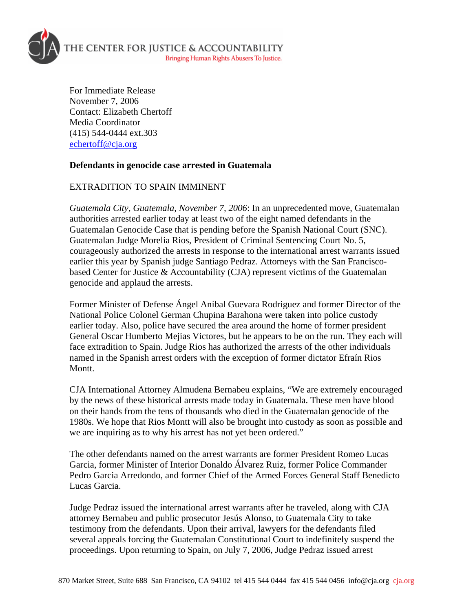

For Immediate Release November 7, 2006 Contact: Elizabeth Chertoff Media Coordinator (415) 544-0444 ext.303 [echertoff@cja.org](mailto:echertoff@cja.org)

## **Defendants in genocide case arrested in Guatemala**

## EXTRADITION TO SPAIN IMMINENT

*Guatemala City, Guatemala, November 7, 2006*: In an unprecedented move, Guatemalan authorities arrested earlier today at least two of the eight named defendants in the Guatemalan Genocide Case that is pending before the Spanish National Court (SNC). Guatemalan Judge Morelia Rios, President of Criminal Sentencing Court No. 5, courageously authorized the arrests in response to the international arrest warrants issued earlier this year by Spanish judge Santiago Pedraz. Attorneys with the San Franciscobased Center for Justice & Accountability (CJA) represent victims of the Guatemalan genocide and applaud the arrests.

Former Minister of Defense Ángel Aníbal Guevara Rodriguez and former Director of the National Police Colonel German Chupina Barahona were taken into police custody earlier today. Also, police have secured the area around the home of former president General Oscar Humberto Mejias Victores, but he appears to be on the run. They each will face extradition to Spain. Judge Rios has authorized the arrests of the other individuals named in the Spanish arrest orders with the exception of former dictator Efraín Rios Montt.

CJA International Attorney Almudena Bernabeu explains, "We are extremely encouraged by the news of these historical arrests made today in Guatemala. These men have blood on their hands from the tens of thousands who died in the Guatemalan genocide of the 1980s. We hope that Rios Montt will also be brought into custody as soon as possible and we are inquiring as to why his arrest has not yet been ordered."

The other defendants named on the arrest warrants are former President Romeo Lucas Garcia, former Minister of Interior Donaldo Álvarez Ruiz, former Police Commander Pedro Garcia Arredondo, and former Chief of the Armed Forces General Staff Benedicto Lucas Garcia.

Judge Pedraz issued the international arrest warrants after he traveled, along with CJA attorney Bernabeu and public prosecutor Jesús Alonso, to Guatemala City to take testimony from the defendants. Upon their arrival, lawyers for the defendants filed several appeals forcing the Guatemalan Constitutional Court to indefinitely suspend the proceedings. Upon returning to Spain, on July 7, 2006, Judge Pedraz issued arrest